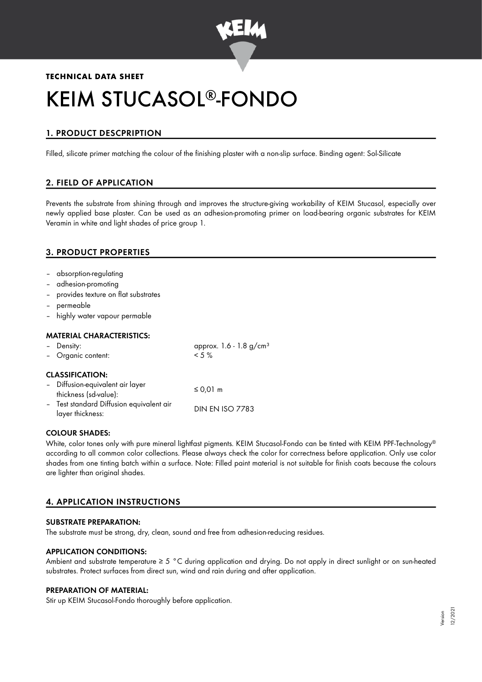

# **TECHNICAL DATA SHEET**

# KEIM STUCASOL®-FONDO

# 1. PRODUCT DESCPRIPTION

Filled, silicate primer matching the colour of the finishing plaster with a non-slip surface. Binding agent: Sol-Silicate

# 2. FIELD OF APPLICATION

Prevents the substrate from shining through and improves the structure-giving workability of KEIM Stucasol, especially over newly applied base plaster. Can be used as an adhesion-promoting primer on load-bearing organic substrates for KEIM Veramin in white and light shades of price group 1.

# 3. PRODUCT PROPERTIES

- absorption-regulating
- adhesion-promoting
- provides texture on flat substrates
- permeable
- highly water vapour permable

## MATERIAL CHARACTERISTICS:

| - Density:                                                   | approx. 1.6 - 1.8 g/cm <sup>3</sup> |
|--------------------------------------------------------------|-------------------------------------|
| - Organic content:                                           | $< 5 \%$                            |
| <b>CLASSIFICATION:</b>                                       |                                     |
| - Diffusion-equivalent air layer<br>thickness (sd-value):    | ≤ 0,01 m                            |
| - Test standard Diffusion equivalent air<br>layer thickness: | <b>DIN EN ISO 7783</b>              |

#### COLOUR SHADES:

White, color tones only with pure mineral lightfast pigments. KEIM Stucasol-Fondo can be tinted with KEIM PPF-Technology ® according to all common color collections. Please always check the color for correctness before application. Only use color shades from one tinting batch within a surface. Note: Filled paint material is not suitable for finish coats because the colours are lighter than original shades.

# 4. APPLICATION INSTRUCTIONS

#### SUBSTRATE PREPARATION:

The substrate must be strong, dry, clean, sound and free from adhesion-reducing residues.

## APPLICATION CONDITIONS:

Ambient and substrate temperature ≥ 5 °C during application and drying. Do not apply in direct sunlight or on sun-heated substrates. Protect surfaces from direct sun, wind and rain during and after application.

#### PREPARATION OF MATERIAL:

Stir up KEIM Stucasol-Fondo thoroughly before application.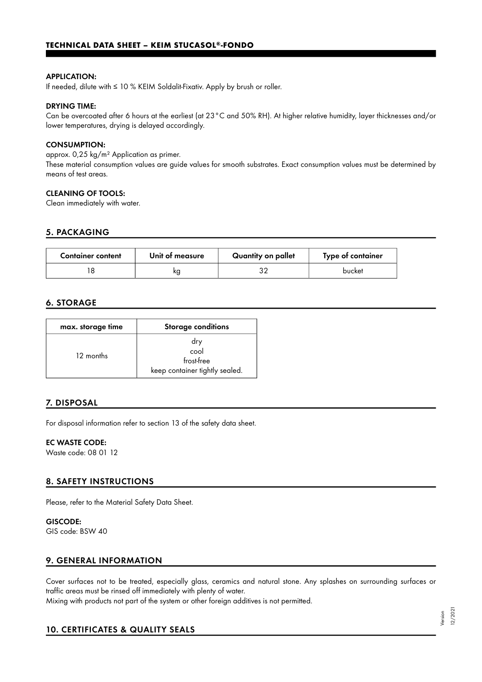#### APPLICATION:

If needed, dilute with ≤ 10 % KEIM Soldalit-Fixativ. Apply by brush or roller.

#### DRYING TIME:

Can be overcoated after 6 hours at the earliest (at 23°C and 50% RH). At higher relative humidity, layer thicknesses and/or lower temperatures, drying is delayed accordingly.

#### CONSUMPTION:

approx. 0,25 kg/m² Application as primer. These material consumption values are guide values for smooth substrates. Exact consumption values must be determined by means of test areas.

#### CLEANING OF TOOLS:

Clean immediately with water.

#### 5. PACKAGING

| <b>Container content</b> | Unit of measure | Quantity on pallet | Type of container |
|--------------------------|-----------------|--------------------|-------------------|
|                          | ĸg              |                    | bucket            |

## 6. STORAGE

| max. storage time | <b>Storage conditions</b>                                   |
|-------------------|-------------------------------------------------------------|
| 12 months         | dry<br>cool<br>frost-free<br>keep container tightly sealed. |

## 7. DISPOSAL

For disposal information refer to section 13 of the safety data sheet.

#### EC WASTE CODE:

Waste code: 08 01 12

#### 8. SAFETY INSTRUCTIONS

Please, refer to the Material Safety Data Sheet.

GISCODE: GIS code: BSW 40

#### 9. GENERAL INFORMATION

Cover surfaces not to be treated, especially glass, ceramics and natural stone. Any splashes on surrounding surfaces or traffic areas must be rinsed off immediately with plenty of water. Mixing with products not part of the system or other foreign additives is not permitted.

## 10. CERTIFICATES & QUALITY SEALS